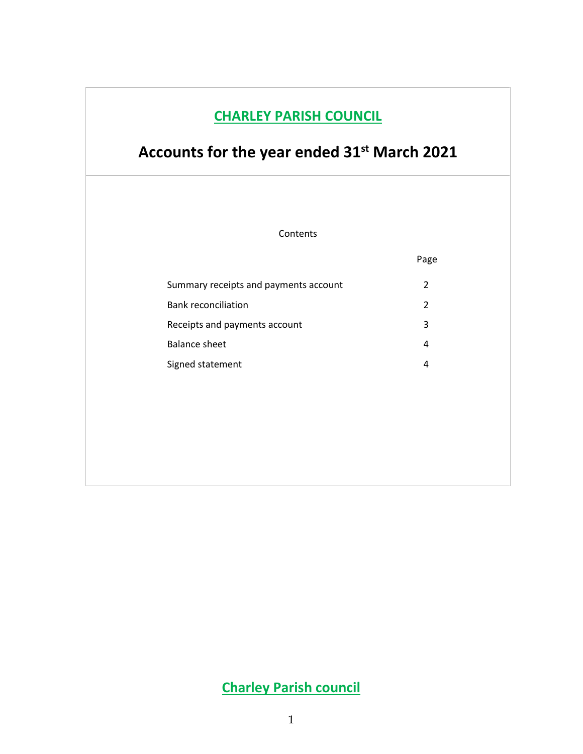## **CHARLEY PARISH COUNCIL**

# **Accounts for the year ended 31st March 2021**

Contents

|                                       | Page          |
|---------------------------------------|---------------|
| Summary receipts and payments account | $\mathcal{P}$ |
| <b>Bank reconciliation</b>            | 2             |
| Receipts and payments account         | 3             |
| Balance sheet                         | 4             |
| Signed statement                      | 4             |

# **Charley Parish council**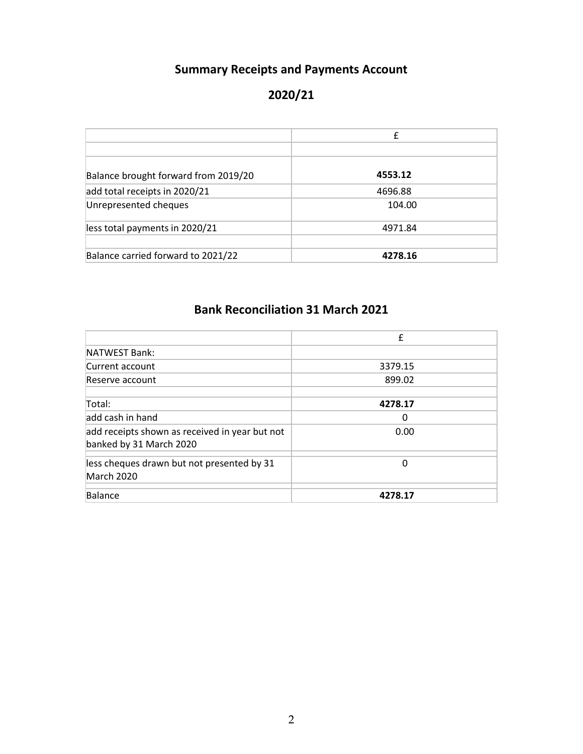### **Summary Receipts and Payments Account**

### **2020/21**

|                                      | £       |
|--------------------------------------|---------|
|                                      |         |
| Balance brought forward from 2019/20 | 4553.12 |
| add total receipts in 2020/21        | 4696.88 |
| Unrepresented cheques                | 104.00  |
| less total payments in 2020/21       | 4971.84 |
| Balance carried forward to 2021/22   | 4278.16 |

# **Bank Reconciliation 31 March 2021**

|                                                | f       |
|------------------------------------------------|---------|
| NATWEST Bank:                                  |         |
| Current account                                | 3379.15 |
| Reserve account                                | 899.02  |
|                                                |         |
| Total:                                         | 4278.17 |
| ladd cash in hand                              | 0       |
| add receipts shown as received in year but not | 0.00    |
| banked by 31 March 2020                        |         |
| less cheques drawn but not presented by 31     | 0       |
| March 2020                                     |         |
|                                                |         |
| Balance                                        | 4278.17 |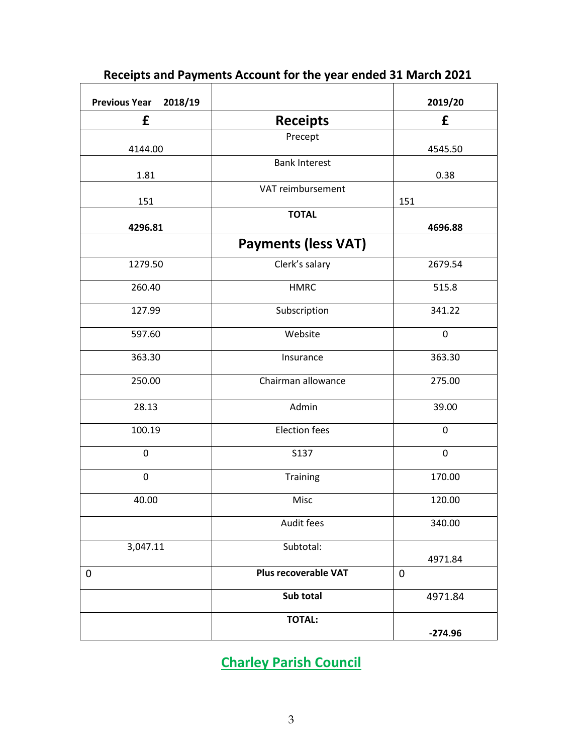| <b>Previous Year</b><br>2018/19 |                            | 2019/20     |
|---------------------------------|----------------------------|-------------|
| £                               | <b>Receipts</b>            | £           |
| 4144.00                         | Precept                    | 4545.50     |
| 1.81                            | <b>Bank Interest</b>       | 0.38        |
| 151                             | VAT reimbursement          | 151         |
| 4296.81                         | <b>TOTAL</b>               | 4696.88     |
|                                 | <b>Payments (less VAT)</b> |             |
| 1279.50                         | Clerk's salary             | 2679.54     |
| 260.40                          | <b>HMRC</b>                | 515.8       |
| 127.99                          | Subscription               | 341.22      |
| 597.60                          | Website                    | $\mathbf 0$ |
| 363.30                          | Insurance                  | 363.30      |
| 250.00                          | Chairman allowance         | 275.00      |
| 28.13                           | Admin                      | 39.00       |
| 100.19                          | <b>Election fees</b>       | $\mathbf 0$ |
| 0                               | S137                       | $\mathbf 0$ |
| $\mathbf 0$                     | Training                   | 170.00      |
| 40.00                           | Misc                       | 120.00      |
|                                 | Audit fees                 | 340.00      |
| 3,047.11                        | Subtotal:                  | 4971.84     |
| $\mathbf 0$                     | Plus recoverable VAT       | $\mathbf 0$ |
|                                 | Sub total                  | 4971.84     |
|                                 | <b>TOTAL:</b>              | $-274.96$   |

### **Receipts and Payments Account for the year ended 31 March 2021**

**Charley Parish Council**